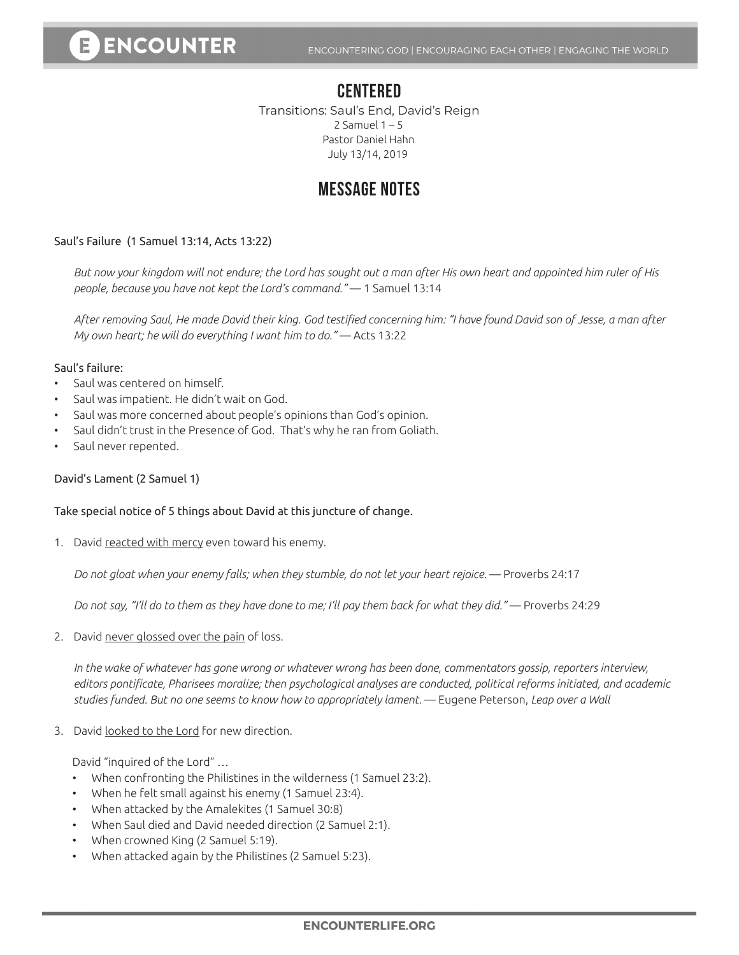### **CENTERED**

Transitions: Saul's End, David's Reign 2 Samuel  $1 - 5$ Pastor Daniel Hahn July 13/14, 2019

## **MESSAGE NOTES**

#### Saul's Failure (1 Samuel 13:14, Acts 13:22)

*But now your kingdom will not endure; the Lord has sought out a man after His own heart and appointed him ruler of His people, because you have not kept the Lord's command."* — 1 Samuel 13:14

*After removing Saul, He made David their king. God testified concerning him: "I have found David son of Jesse, a man after My own heart; he will do everything I want him to do."* — Acts 13:22

#### Saul's failure:

- Saul was centered on himself.
- Saul was impatient. He didn't wait on God.
- Saul was more concerned about people's opinions than God's opinion.
- Saul didn't trust in the Presence of God. That's why he ran from Goliath.
- Saul never repented.

#### David's Lament (2 Samuel 1)

#### Take special notice of 5 things about David at this juncture of change.

1. David reacted with mercy even toward his enemy.

*Do not gloat when your enemy falls; when they stumble, do not let your heart rejoice.* — Proverbs 24:17

*Do not say, "I'll do to them as they have done to me; I'll pay them back for what they did."* — Proverbs 24:29

2. David never glossed over the pain of loss.

*In the wake of whatever has gone wrong or whatever wrong has been done, commentators gossip, reporters interview, editors pontificate, Pharisees moralize; then psychological analyses are conducted, political reforms initiated, and academic studies funded. But no one seems to know how to appropriately lament.* — Eugene Peterson, *Leap over a Wall*

3. David looked to the Lord for new direction.

David "inquired of the Lord" …

- When confronting the Philistines in the wilderness (1 Samuel 23:2).
- When he felt small against his enemy (1 Samuel 23:4).
- When attacked by the Amalekites (1 Samuel 30:8)
- When Saul died and David needed direction (2 Samuel 2:1).
- When crowned King (2 Samuel 5:19).
- When attacked again by the Philistines (2 Samuel 5:23).